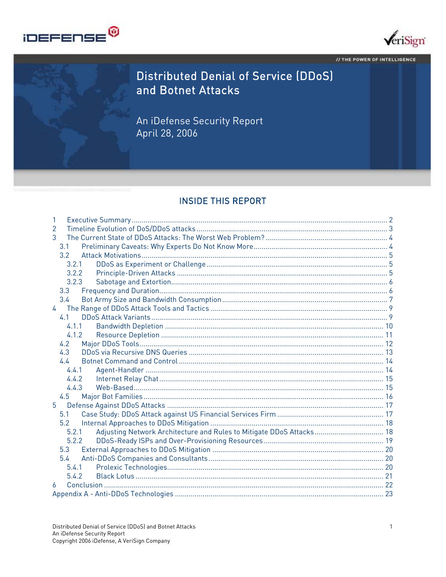



// THE POWER OF INTELLIGENCE

# **Distributed Denial of Service (DDoS)** and Botnet Attacks

An iDefense Security Report April 28, 2006

## **INSIDE THIS REPORT**

| $\mathcal{P}$                                                                 |  |
|-------------------------------------------------------------------------------|--|
| 3                                                                             |  |
| 3.1                                                                           |  |
| 3.2                                                                           |  |
| 3.2.1                                                                         |  |
| 3.2.2                                                                         |  |
| 3.2.3                                                                         |  |
| 3.3                                                                           |  |
| 3.4                                                                           |  |
| $\overline{4}$                                                                |  |
| 4.1                                                                           |  |
| 4.1.1                                                                         |  |
| 4.1.2                                                                         |  |
| 4.2                                                                           |  |
| 4.3                                                                           |  |
| 44                                                                            |  |
| 4.4.1                                                                         |  |
| 4.4.2                                                                         |  |
| 4.4.3                                                                         |  |
| 4.5                                                                           |  |
| 5                                                                             |  |
| 5.1                                                                           |  |
| 5.2                                                                           |  |
| Adjusting Network Architecture and Rules to Mitigate DDoS Attacks 18<br>5.2.1 |  |
| 5.2.2                                                                         |  |
| 5.3                                                                           |  |
| 5.4                                                                           |  |
| 5.4.1                                                                         |  |
| 542                                                                           |  |
| 6                                                                             |  |
|                                                                               |  |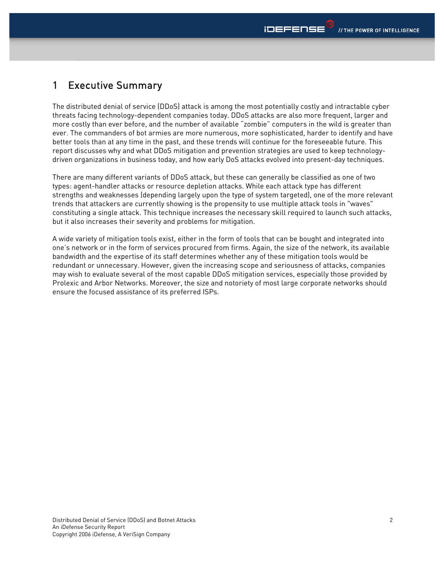## <span id="page-1-0"></span>1 Executive Summary

The distributed denial of service (DDoS) attack is among the most potentially costly and intractable cyber threats facing technology-dependent companies today. DDoS attacks are also more frequent, larger and more costly than ever before, and the number of available "zombie" computers in the wild is greater than ever. The commanders of bot armies are more numerous, more sophisticated, harder to identify and have better tools than at any time in the past, and these trends will continue for the foreseeable future. This report discusses why and what DDoS mitigation and prevention strategies are used to keep technologydriven organizations in business today, and how early DoS attacks evolved into present-day techniques.

There are many different variants of DDoS attack, but these can generally be classified as one of two types: agent-handler attacks or resource depletion attacks. While each attack type has different strengths and weaknesses (depending largely upon the type of system targeted), one of the more relevant trends that attackers are currently showing is the propensity to use multiple attack tools in "waves" constituting a single attack. This technique increases the necessary skill required to launch such attacks, but it also increases their severity and problems for mitigation.

A wide variety of mitigation tools exist, either in the form of tools that can be bought and integrated into one's network or in the form of services procured from firms. Again, the size of the network, its available bandwidth and the expertise of its staff determines whether any of these mitigation tools would be redundant or unnecessary. However, given the increasing scope and seriousness of attacks, companies may wish to evaluate several of the most capable DDoS mitigation services, especially those provided by Prolexic and Arbor Networks. Moreover, the size and notoriety of most large corporate networks should ensure the focused assistance of its preferred ISPs.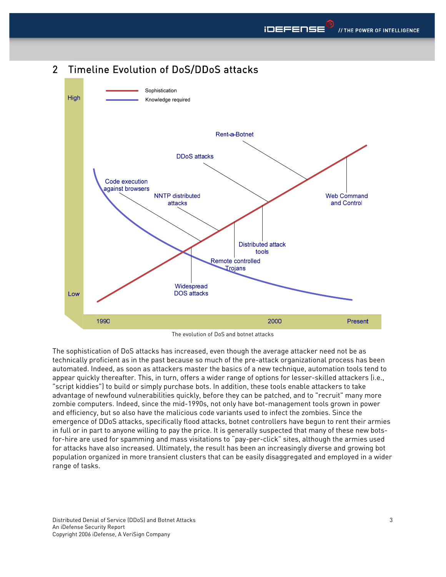

## <span id="page-2-0"></span>2 Timeline Evolution of DoS/DDoS attacks

The evolution of DoS and botnet attacks

The sophistication of DoS attacks has increased, even though the average attacker need not be as technically proficient as in the past because so much of the pre-attack organizational process has been automated. Indeed, as soon as attackers master the basics of a new technique, automation tools tend to appear quickly thereafter. This, in turn, offers a wider range of options for lesser-skilled attackers (i.e., "script kiddies") to build or simply purchase bots. In addition, these tools enable attackers to take advantage of newfound vulnerabilities quickly, before they can be patched, and to "recruit" many more zombie computers. Indeed, since the mid-1990s, not only have bot-management tools grown in power and efficiency, but so also have the malicious code variants used to infect the zombies. Since the emergence of DDoS attacks, specifically flood attacks, botnet controllers have begun to rent their armies in full or in part to anyone willing to pay the price. It is generally suspected that many of these new botsfor-hire are used for spamming and mass visitations to "pay-per-click" sites, although the armies used for attacks have also increased. Ultimately, the result has been an increasingly diverse and growing bot population organized in more transient clusters that can be easily disaggregated and employed in a wider range of tasks.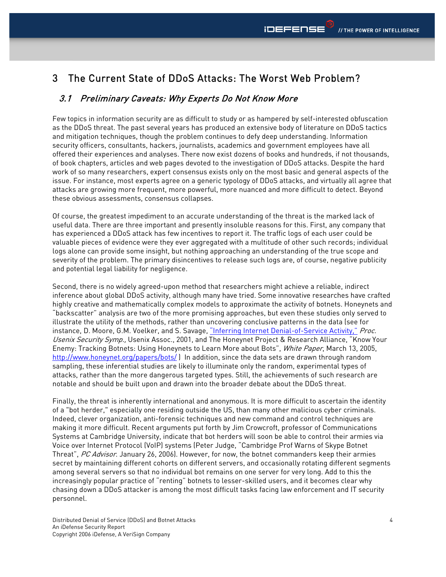## <span id="page-3-0"></span>3 The Current State of DDoS Attacks: The Worst Web Problem?

### 3.1 Preliminary Caveats: Why Experts Do Not Know More

Few topics in information security are as difficult to study or as hampered by self-interested obfuscation as the DDoS threat. The past several years has produced an extensive body of literature on DDoS tactics and mitigation techniques, though the problem continues to defy deep understanding. Information security officers, consultants, hackers, journalists, academics and government employees have all offered their experiences and analyses. There now exist dozens of books and hundreds, if not thousands, of book chapters, articles and web pages devoted to the investigation of DDoS attacks. Despite the hard work of so many researchers, expert consensus exists only on the most basic and general aspects of the issue. For instance, most experts agree on a generic typology of DDoS attacks, and virtually all agree that attacks are growing more frequent, more powerful, more nuanced and more difficult to detect. Beyond these obvious assessments, consensus collapses.

Of course, the greatest impediment to an accurate understanding of the threat is the marked lack of useful data. There are three important and presently insoluble reasons for this. First, any company that has experienced a DDoS attack has few incentives to report it. The traffic logs of each user could be valuable pieces of evidence were they ever aggregated with a multitude of other such records; individual logs alone can provide some insight, but nothing approaching an understanding of the true scope and severity of the problem. The primary disincentives to release such logs are, of course, negative publicity and potential legal liability for negligence.

Second, there is no widely agreed-upon method that researchers might achieve a reliable, indirect inference about global DDoS activity, although many have tried. Some innovative researches have crafted highly creative and mathematically complex models to approximate the activity of botnets. Honeynets and "backscatter" analysis are two of the more promising approaches, but even these studies only served to illustrate the utility of the methods, rather than uncovering conclusive patterns in the data (see for instance, D. Moore, G.M. Voelker, and S. Savage, ["Inferring Internet Denial-of-Service Activity,"](http://citeseer.ist.psu.edu/moore01inferring.html) Proc. Usenix Security Symp., Usenix Assoc., 2001, and The Honeynet Project & Research Alliance, "Know Your Enemy: Tracking Botnets: Using Honeynets to Learn More about Bots", White Paper, March 13, 2005, http://www.honeynet.org/papers/bots/) In addition, since the data sets are drawn through random sampling, these inferential studies are likely to illuminate only the random, experimental types of attacks, rather than the more dangerous targeted types. Still, the achievements of such research are notable and should be built upon and drawn into the broader debate about the DDoS threat.

Finally, the threat is inherently international and anonymous. It is more difficult to ascertain the identity of a "bot herder," especially one residing outside the US, than many other malicious cyber criminals. Indeed, clever organization, anti-forensic techniques and new command and control techniques are making it more difficult. Recent arguments put forth by Jim Crowcroft, professor of Communications Systems at Cambridge University, indicate that bot herders will soon be able to control their armies via Voice over Internet Protocol (VoIP) systems (Peter Judge, "Cambridge Prof Warns of Skype Botnet Threat", PC Advisor. January 26, 2006). However, for now, the botnet commanders keep their armies secret by maintaining different cohorts on different servers, and occasionally rotating different segments among several servers so that no individual bot remains on one server for very long. Add to this the increasingly popular practice of "renting" botnets to lesser-skilled users, and it becomes clear why chasing down a DDoS attacker is among the most difficult tasks facing law enforcement and IT security personnel.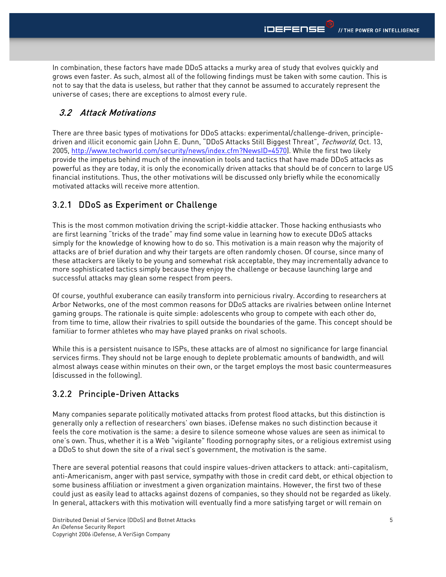<span id="page-4-0"></span>In combination, these factors have made DDoS attacks a murky area of study that evolves quickly and grows even faster. As such, almost all of the following findings must be taken with some caution. This is not to say that the data is useless, but rather that they cannot be assumed to accurately represent the universe of cases; there are exceptions to almost every rule.

### 3.2 Attack Motivations

There are three basic types of motivations for DDoS attacks: experimental/challenge-driven, principledriven and illicit economic gain (John E. Dunn, "DDoS Attacks Still Biggest Threat", Techworld, Oct. 13, 2005, [http://www.techworld.com/security/news/index.cfm?NewsID=4570\)](http://www.techworld.com/security/news/index.cfm?NewsID=4570). While the first two likely provide the impetus behind much of the innovation in tools and tactics that have made DDoS attacks as powerful as they are today, it is only the economically driven attacks that should be of concern to large US financial institutions. Thus, the other motivations will be discussed only briefly while the economically motivated attacks will receive more attention.

## 3.2.1 DDoS as Experiment or Challenge

This is the most common motivation driving the script-kiddie attacker. Those hacking enthusiasts who are first learning "tricks of the trade" may find some value in learning how to execute DDoS attacks simply for the knowledge of knowing how to do so. This motivation is a main reason why the majority of attacks are of brief duration and why their targets are often randomly chosen. Of course, since many of these attackers are likely to be young and somewhat risk acceptable, they may incrementally advance to more sophisticated tactics simply because they enjoy the challenge or because launching large and successful attacks may glean some respect from peers.

Of course, youthful exuberance can easily transform into pernicious rivalry. According to researchers at Arbor Networks, one of the most common reasons for DDoS attacks are rivalries between online Internet gaming groups. The rationale is quite simple: adolescents who group to compete with each other do, from time to time, allow their rivalries to spill outside the boundaries of the game. This concept should be familiar to former athletes who may have played pranks on rival schools.

While this is a persistent nuisance to ISPs, these attacks are of almost no significance for large financial services firms. They should not be large enough to deplete problematic amounts of bandwidth, and will almost always cease within minutes on their own, or the target employs the most basic countermeasures (discussed in the following).

## 3.2.2 Principle-Driven Attacks

Many companies separate politically motivated attacks from protest flood attacks, but this distinction is generally only a reflection of researchers' own biases. iDefense makes no such distinction because it feels the core motivation is the same: a desire to silence someone whose values are seen as inimical to one's own. Thus, whether it is a Web "vigilante" flooding pornography sites, or a religious extremist using a DDoS to shut down the site of a rival sect's government, the motivation is the same.

There are several potential reasons that could inspire values-driven attackers to attack: anti-capitalism, anti-Americanism, anger with past service, sympathy with those in credit card debt, or ethical objection to some business affiliation or investment a given organization maintains. However, the first two of these could just as easily lead to attacks against dozens of companies, so they should not be regarded as likely. In general, attackers with this motivation will eventually find a more satisfying target or will remain on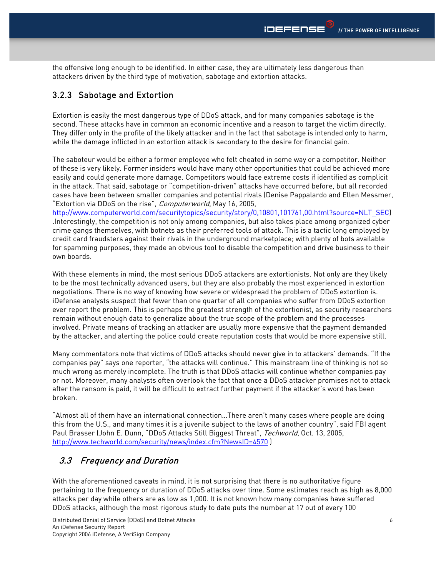<span id="page-5-0"></span>the offensive long enough to be identified. In either case, they are ultimately less dangerous than attackers driven by the third type of motivation, sabotage and extortion attacks.

### 3.2.3 Sabotage and Extortion

Extortion is easily the most dangerous type of DDoS attack, and for many companies sabotage is the second. These attacks have in common an economic incentive and a reason to target the victim directly. They differ only in the profile of the likely attacker and in the fact that sabotage is intended only to harm, while the damage inflicted in an extortion attack is secondary to the desire for financial gain.

The saboteur would be either a former employee who felt cheated in some way or a competitor. Neither of these is very likely. Former insiders would have many other opportunities that could be achieved more easily and could generate more damage. Competitors would face extreme costs if identified as complicit in the attack. That said, sabotage or "competition-driven" attacks have occurred before, but all recorded cases have been between smaller companies and potential rivals (Denise Pappalardo and Ellen Messmer, "Extortion via DDoS on the rise", Computerworld, May 16, 2005,

[http://www.computerworld.com/securitytopics/security/story/0,10801,101761,00.html?source=NLT\\_SEC\)](http://www.computerworld.com/securitytopics/security/story/0,10801,101761,00.html?source=NLT_SEC) .Interestingly, the competition is not only among companies, but also takes place among organized cyber crime gangs themselves, with botnets as their preferred tools of attack. This is a tactic long employed by credit card fraudsters against their rivals in the underground marketplace; with plenty of bots available for spamming purposes, they made an obvious tool to disable the competition and drive business to their own boards.

With these elements in mind, the most serious DDoS attackers are extortionists. Not only are they likely to be the most technically advanced users, but they are also probably the most experienced in extortion negotiations. There is no way of knowing how severe or widespread the problem of DDoS extortion is. iDefense analysts suspect that fewer than one quarter of all companies who suffer from DDoS extortion ever report the problem. This is perhaps the greatest strength of the extortionist, as security researchers remain without enough data to generalize about the true scope of the problem and the processes involved. Private means of tracking an attacker are usually more expensive that the payment demanded by the attacker, and alerting the police could create reputation costs that would be more expensive still.

Many commentators note that victims of DDoS attacks should never give in to attackers' demands. "If the companies pay" says one reporter, "the attacks will continue." This mainstream line of thinking is not so much wrong as merely incomplete. The truth is that DDoS attacks will continue whether companies pay or not. Moreover, many analysts often overlook the fact that once a DDoS attacker promises not to attack after the ransom is paid, it will be difficult to extract further payment if the attacker's word has been broken.

"Almost all of them have an international connection…There aren't many cases where people are doing this from the U.S., and many times it is a juvenile subject to the laws of another country", said FBI agent Paul Brasser (John E. Dunn, "DDoS Attacks Still Biggest Threat", Techworld, Oct. 13, 2005, <http://www.techworld.com/security/news/index.cfm?NewsID=4570>)

### 3.3 Frequency and Duration

With the aforementioned caveats in mind, it is not surprising that there is no authoritative figure pertaining to the frequency or duration of DDoS attacks over time. Some estimates reach as high as 8,000 attacks per day while others are as low as 1,000. It is not known how many companies have suffered DDoS attacks, although the most rigorous study to date puts the number at 17 out of every 100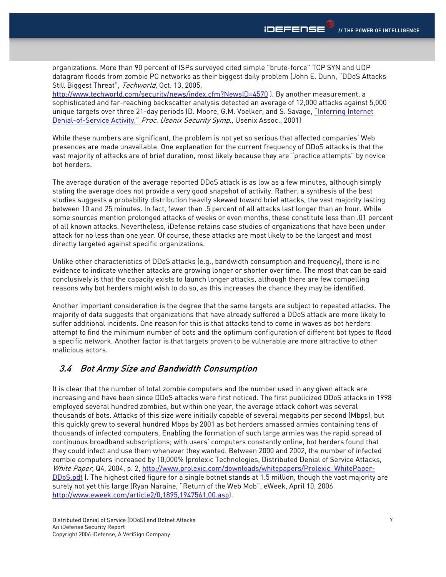<span id="page-6-0"></span>organizations. More than 90 percent of ISPs surveyed cited simple "brute-force" TCP SYN and UDP datagram floods from zombie PC networks as their biggest daily problem (John E. Dunn, "DDoS Attacks Still Biggest Threat", Techworld, Oct. 13, 2005,

<http://www.techworld.com/security/news/index.cfm?NewsID=4570>). By another measurement, a sophisticated and far-reaching backscatter analysis detected an average of 12,000 attacks against 5,000 unique targets over three 21-day periods (D. Moore, G.M. Voelker, and S. Savage, ["Inferring Internet](http://citeseer.ist.psu.edu/moore01inferring.html)  [Denial-of-Service Activity,"](http://citeseer.ist.psu.edu/moore01inferring.html) Proc. Usenix Security Symp., Usenix Assoc., 2001)

While these numbers are significant, the problem is not yet so serious that affected companies' Web presences are made unavailable. One explanation for the current frequency of DDoS attacks is that the vast majority of attacks are of brief duration, most likely because they are "practice attempts" by novice bot herders.

The average duration of the average reported DDoS attack is as low as a few minutes, although simply stating the average does not provide a very good snapshot of activity. Rather, a synthesis of the best studies suggests a probability distribution heavily skewed toward brief attacks, the vast majority lasting between 10 and 25 minutes. In fact, fewer than .5 percent of all attacks last longer than an hour. While some sources mention prolonged attacks of weeks or even months, these constitute less than .01 percent of all known attacks. Nevertheless, iDefense retains case studies of organizations that have been under attack for no less than one year. Of course, these attacks are most likely to be the largest and most directly targeted against specific organizations.

Unlike other characteristics of DDoS attacks (e.g., bandwidth consumption and frequency), there is no evidence to indicate whether attacks are growing longer or shorter over time. The most that can be said conclusively is that the capacity exists to launch longer attacks, although there are few compelling reasons why bot herders might wish to do so, as this increases the chance they may be identified.

Another important consideration is the degree that the same targets are subject to repeated attacks. The majority of data suggests that organizations that have already suffered a DDoS attack are more likely to suffer additional incidents. One reason for this is that attacks tend to come in waves as bot herders attempt to find the minimum number of bots and the optimum configuration of different bot types to flood a specific network. Another factor is that targets proven to be vulnerable are more attractive to other malicious actors.

## 3.4 Bot Army Size and Bandwidth Consumption

It is clear that the number of total zombie computers and the number used in any given attack are increasing and have been since DDoS attacks were first noticed. The first publicized DDoS attacks in 1998 employed several hundred zombies, but within one year, the average attack cohort was several thousands of bots. Attacks of this size were initially capable of several megabits per second (Mbps), but this quickly grew to several hundred Mbps by 2001 as bot herders amassed armies containing tens of thousands of infected computers. Enabling the formation of such large armies was the rapid spread of continuous broadband subscriptions; with users' computers constantly online, bot herders found that they could infect and use them whenever they wanted. Between 2000 and 2002, the number of infected zombie computers increased by 10,000% (prolexic Technologies, Distributed Denial of Service Attacks, White Paper, Q4, 2004, p. 2, [http://www.prolexic.com/downloads/whitepapers/Prolexic\\_WhitePaper-](http://www.prolexic.com/downloads/whitepapers/Prolexic_WhitePaper-DDoS.pdf)[DDoS.pdf](http://www.prolexic.com/downloads/whitepapers/Prolexic_WhitePaper-DDoS.pdf) ). The highest cited figure for a single botnet stands at 1.5 million, though the vast majority are surely not yet this large (Ryan Naraine, "Return of the Web Mob", eWeek, April 10, 2006 [http://www.eweek.com/article2/0,1895,1947561,00.asp\)](http://www.eweek.com/article2/0,1895,1947561,00.asp).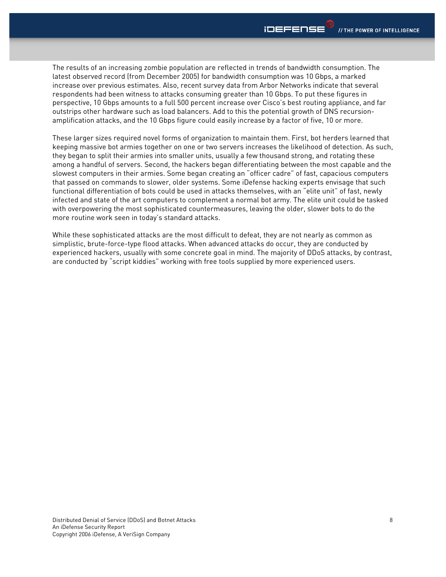The results of an increasing zombie population are reflected in trends of bandwidth consumption. The latest observed record (from December 2005) for bandwidth consumption was 10 Gbps, a marked increase over previous estimates. Also, recent survey data from Arbor Networks indicate that several respondents had been witness to attacks consuming greater than 10 Gbps. To put these figures in perspective, 10 Gbps amounts to a full 500 percent increase over Cisco's best routing appliance, and far outstrips other hardware such as load balancers. Add to this the potential growth of DNS recursionamplification attacks, and the 10 Gbps figure could easily increase by a factor of five, 10 or more.

These larger sizes required novel forms of organization to maintain them. First, bot herders learned that keeping massive bot armies together on one or two servers increases the likelihood of detection. As such, they began to split their armies into smaller units, usually a few thousand strong, and rotating these among a handful of servers. Second, the hackers began differentiating between the most capable and the slowest computers in their armies. Some began creating an "officer cadre" of fast, capacious computers that passed on commands to slower, older systems. Some iDefense hacking experts envisage that such functional differentiation of bots could be used in attacks themselves, with an "elite unit" of fast, newly infected and state of the art computers to complement a normal bot army. The elite unit could be tasked with overpowering the most sophisticated countermeasures, leaving the older, slower bots to do the more routine work seen in today's standard attacks.

While these sophisticated attacks are the most difficult to defeat, they are not nearly as common as simplistic, brute-force-type flood attacks. When advanced attacks do occur, they are conducted by experienced hackers, usually with some concrete goal in mind. The majority of DDoS attacks, by contrast, are conducted by "script kiddies" working with free tools supplied by more experienced users.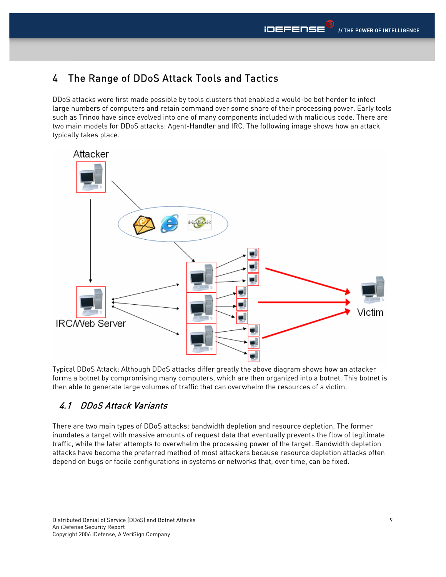## <span id="page-8-0"></span>4 The Range of DDoS Attack Tools and Tactics

DDoS attacks were first made possible by tools clusters that enabled a would-be bot herder to infect large numbers of computers and retain command over some share of their processing power. Early tools such as Trinoo have since evolved into one of many components included with malicious code. There are two main models for DDoS attacks: Agent-Handler and IRC. The following image shows how an attack typically takes place.



Typical DDoS Attack: Although DDoS attacks differ greatly the above diagram shows how an attacker forms a botnet by compromising many computers, which are then organized into a botnet. This botnet is then able to generate large volumes of traffic that can overwhelm the resources of a victim.

## 4.1 DDoS Attack Variants

There are two main types of DDoS attacks: bandwidth depletion and resource depletion. The former inundates a target with massive amounts of request data that eventually prevents the flow of legitimate traffic, while the later attempts to overwhelm the processing power of the target. Bandwidth depletion attacks have become the preferred method of most attackers because resource depletion attacks often depend on bugs or facile configurations in systems or networks that, over time, can be fixed.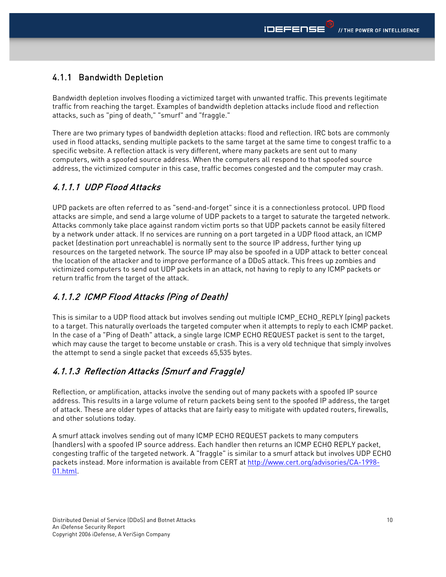## <span id="page-9-0"></span>4.1.1 Bandwidth Depletion

Bandwidth depletion involves flooding a victimized target with unwanted traffic. This prevents legitimate traffic from reaching the target. Examples of bandwidth depletion attacks include flood and reflection attacks, such as "ping of death," "smurf" and "fraggle."

There are two primary types of bandwidth depletion attacks: flood and reflection. IRC bots are commonly used in flood attacks, sending multiple packets to the same target at the same time to congest traffic to a specific website. A reflection attack is very different, where many packets are sent out to many computers, with a spoofed source address. When the computers all respond to that spoofed source address, the victimized computer in this case, traffic becomes congested and the computer may crash.

## 4.1.1.1 UDP Flood Attacks

UPD packets are often referred to as "send-and-forget" since it is a connectionless protocol. UPD flood attacks are simple, and send a large volume of UDP packets to a target to saturate the targeted network. Attacks commonly take place against random victim ports so that UDP packets cannot be easily filtered by a network under attack. If no services are running on a port targeted in a UDP flood attack, an ICMP packet (destination port unreachable) is normally sent to the source IP address, further tying up resources on the targeted network. The source IP may also be spoofed in a UDP attack to better conceal the location of the attacker and to improve performance of a DDoS attack. This frees up zombies and victimized computers to send out UDP packets in an attack, not having to reply to any ICMP packets or return traffic from the target of the attack.

## 4.1.1.2 ICMP Flood Attacks (Ping of Death)

This is similar to a UDP flood attack but involves sending out multiple ICMP\_ECHO\_REPLY (ping) packets to a target. This naturally overloads the targeted computer when it attempts to reply to each ICMP packet. In the case of a "Ping of Death" attack, a single large ICMP ECHO REQUEST packet is sent to the target, which may cause the target to become unstable or crash. This is a very old technique that simply involves the attempt to send a single packet that exceeds 65,535 bytes.

## 4.1.1.3 Reflection Attacks (Smurf and Fraggle)

Reflection, or amplification, attacks involve the sending out of many packets with a spoofed IP source address. This results in a large volume of return packets being sent to the spoofed IP address, the target of attack. These are older types of attacks that are fairly easy to mitigate with updated routers, firewalls, and other solutions today.

A smurf attack involves sending out of many ICMP ECHO REQUEST packets to many computers (handlers) with a spoofed IP source address. Each handler then returns an ICMP ECHO REPLY packet, congesting traffic of the targeted network. A "fraggle" is similar to a smurf attack but involves UDP ECHO packets instead. More information is available from CERT at [http://www.cert.org/advisories/CA-1998-](http://www.cert.org/advisories/CA-1998-01.html) [01.html.](http://www.cert.org/advisories/CA-1998-01.html)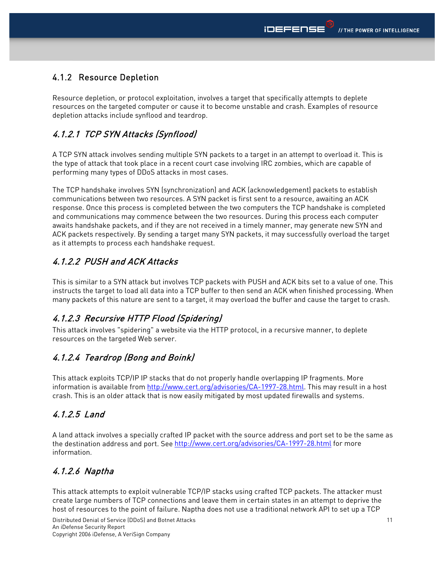## <span id="page-10-0"></span>4.1.2 Resource Depletion

Resource depletion, or protocol exploitation, involves a target that specifically attempts to deplete resources on the targeted computer or cause it to become unstable and crash. Examples of resource depletion attacks include synflood and teardrop.

## 4.1.2.1 TCP SYN Attacks (Synflood)

A TCP SYN attack involves sending multiple SYN packets to a target in an attempt to overload it. This is the type of attack that took place in a recent court case involving IRC zombies, which are capable of performing many types of DDoS attacks in most cases.

The TCP handshake involves SYN (synchronization) and ACK (acknowledgement) packets to establish communications between two resources. A SYN packet is first sent to a resource, awaiting an ACK response. Once this process is completed between the two computers the TCP handshake is completed and communications may commence between the two resources. During this process each computer awaits handshake packets, and if they are not received in a timely manner, may generate new SYN and ACK packets respectively. By sending a target many SYN packets, it may successfully overload the target as it attempts to process each handshake request.

## 4.1.2.2 PUSH and ACK Attacks

This is similar to a SYN attack but involves TCP packets with PUSH and ACK bits set to a value of one. This instructs the target to load all data into a TCP buffer to then send an ACK when finished processing. When many packets of this nature are sent to a target, it may overload the buffer and cause the target to crash.

## 4.1.2.3 Recursive HTTP Flood (Spidering)

This attack involves "spidering" a website via the HTTP protocol, in a recursive manner, to deplete resources on the targeted Web server.

## 4.1.2.4 Teardrop (Bong and Boink)

This attack exploits TCP/IP IP stacks that do not properly handle overlapping IP fragments. More information is available from<http://www.cert.org/advisories/CA-1997-28.html>. This may result in a host crash. This is an older attack that is now easily mitigated by most updated firewalls and systems.

## 4.1.2.5 Land

A land attack involves a specially crafted IP packet with the source address and port set to be the same as the destination address and port. See <http://www.cert.org/advisories/CA-1997-28.html> for more information.

## 4.1.2.6 Naptha

This attack attempts to exploit vulnerable TCP/IP stacks using crafted TCP packets. The attacker must create large numbers of TCP connections and leave them in certain states in an attempt to deprive the host of resources to the point of failure. Naptha does not use a traditional network API to set up a TCP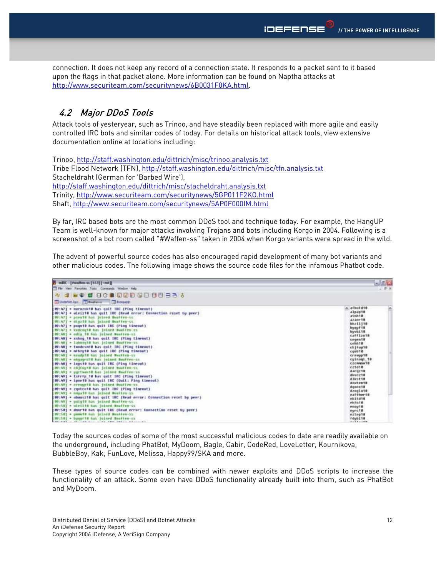<span id="page-11-0"></span>connection. It does not keep any record of a connection state. It responds to a packet sent to it based upon the flags in that packet alone. More information can be found on Naptha attacks at <http://www.securiteam.com/securitynews/6B0031F0KA.html>.

### 4.2 Major DDoS Tools

Attack tools of yesteryear, such as Trinoo, and have steadily been replaced with more agile and easily controlled IRC bots and similar codes of today. For details on historical attack tools, view extensive documentation online at locations including:

Trinoo, <http://staff.washington.edu/dittrich/misc/trinoo.analysis.txt> Tribe Flood Network (TFN),<http://staff.washington.edu/dittrich/misc/tfn.analysis.txt> Stacheldraht (German for 'Barbed Wire'), <http://staff.washington.edu/dittrich/misc/stacheldraht.analysis.txt> Trinity,<http://www.securiteam.com/securitynews/5GP011F2KO.html> Shaft,<http://www.securiteam.com/securitynews/5AP0F000IM.html>

By far, IRC based bots are the most common DDoS tool and technique today. For example, the HangUP Team is well-known for major attacks involving Trojans and bots including Korgo in 2004. Following is a screenshot of a bot room called "#Waffen-ss" taken in 2004 when Korgo variants were spread in the wild.

The advent of powerful source codes has also encouraged rapid development of many bot variants and other malicious codes. The following image shows the source code files for the infamous Phatbot code.

| a<br>mBC - [ewalten as [163] [-mt]]                                                                                                                                                                                                                                                                                                                                                                                                                                                                                                                                                                                                                                                                                                                                                                                                                                                                                                                                                                                                                                                                                                                                                                                                                                                                                                                                                                                                                                             | معاشات                                                                                                                                                                                                                                                                                                                                         |
|---------------------------------------------------------------------------------------------------------------------------------------------------------------------------------------------------------------------------------------------------------------------------------------------------------------------------------------------------------------------------------------------------------------------------------------------------------------------------------------------------------------------------------------------------------------------------------------------------------------------------------------------------------------------------------------------------------------------------------------------------------------------------------------------------------------------------------------------------------------------------------------------------------------------------------------------------------------------------------------------------------------------------------------------------------------------------------------------------------------------------------------------------------------------------------------------------------------------------------------------------------------------------------------------------------------------------------------------------------------------------------------------------------------------------------------------------------------------------------|------------------------------------------------------------------------------------------------------------------------------------------------------------------------------------------------------------------------------------------------------------------------------------------------------------------------------------------------|
| Ti File View Favorites Tools<br>Commands Window Help                                                                                                                                                                                                                                                                                                                                                                                                                                                                                                                                                                                                                                                                                                                                                                                                                                                                                                                                                                                                                                                                                                                                                                                                                                                                                                                                                                                                                            |                                                                                                                                                                                                                                                                                                                                                |
| <b>ADDBGDGBB6</b><br>Pd.<br>$\Theta$ <sup><math>\alpha</math></sup><br>$\bullet$<br><b>That</b><br>ы                                                                                                                                                                                                                                                                                                                                                                                                                                                                                                                                                                                                                                                                                                                                                                                                                                                                                                                                                                                                                                                                                                                                                                                                                                                                                                                                                                            |                                                                                                                                                                                                                                                                                                                                                |
| <b>ED flynough</b>                                                                                                                                                                                                                                                                                                                                                                                                                                                                                                                                                                                                                                                                                                                                                                                                                                                                                                                                                                                                                                                                                                                                                                                                                                                                                                                                                                                                                                                              |                                                                                                                                                                                                                                                                                                                                                |
| * nuruzukl# has quit IRC {Ping timeout}<br>154.71<br>* wiellin has quit inc (mead error: Connection reset by peer)<br>[09:47]<br>101147<br>posite has joined Buaffen-ss<br>$\qquad \qquad \bullet$<br>[01147]<br><b>Inition Bustiness</b><br>$= 4142278$ has<br>[89:47] * pxgn10 has quit 180 (Fing timeout)<br><b>EDVIAY</b><br>. kxdcog10 has joined NusFFen-ss<br>09:48<br>- odly 18 has loined Bualien 55<br>. Esting 18 has quit 180 (Ping timeout)<br>109:481<br>09148<br>Laboxett sas<br>Joined Busfies as<br>$\qquad \qquad \blacksquare$<br>. twodesmi# has quit IRC (Ping timeout)<br>184:481<br>- mfhzylB hat quit IRC (Ping timeout)<br>[09:48]<br><b>E 199 : 48 1</b><br>- kendpill has joined fuaffen-ts<br>097M1<br>* skupprift@ has<br>joined Busilen-sn.<br>. Ixus10 has quit INC (Ping timeout)<br>184:481<br>(09:49)<br>* chifuuin has<br>Inined Busition-55<br>1991401<br>* wortwaits has<br>joined Bastfen-ss<br>[BD:AD] * tsfrfp 18 has quit IRC (Ping timeont)<br>[09:49] . ipuel@ has quit IRC (Ouit: Ping timeout)<br>* crewunio has inined fluation-ss<br>108:401<br>[89:49] * zqutcoil has quit IRC (Ping timeout)<br><b>RU : 49</b><br>inimed Busition-ss<br>[09;19]<br>* wbuusz10 has quit IRC (Read error: Connection reset by peer)<br>100:491<br>* suigl# has joined Boaffen-ss<br>119:581<br>* wieilis hat inined Buaffen-SS<br>[80:50] = dnxr10 has quit 180 (Read error: Connection reset by peer)<br>EDVISOI - punull has inined Buailen-St | $A$ $A$ fbufd18<br>a.<br>alpapiB<br>atmhie<br><b>AZADF10</b><br>bhzili18<br>buqui 18<br>buybi18<br>caffizn18<br>cegeni#<br>cebbie<br>chiFuu10<br>coobie<br>crewop1B<br>cuinagl 10<br><b>CZCHININ1B</b><br>cztd10<br>dargc10<br>diuc218<br>$d$ lksti#<br>doutewill<br>dgoosin<br>dreibeth<br>eafthurid<br>ebitets<br>ehFn10<br>enou10<br>eurc18 |
| 180-5.81<br>a Bassard E.B. Buyto                                                                                                                                                                                                                                                                                                                                                                                                                                                                                                                                                                                                                                                                                                                                                                                                                                                                                                                                                                                                                                                                                                                                                                                                                                                                                                                                                                                                                                                | eztept#<br>Fdubl18<br><b>East Family Rd</b>                                                                                                                                                                                                                                                                                                    |

Today the sources codes of some of the most successful malicious codes to date are readily available on the underground, including PhatBot, MyDoom, Bagle, Cabir, CodeRed, LoveLetter, Kournikova, BubbleBoy, Kak, FunLove, Melissa, Happy99/SKA and more.

These types of source codes can be combined with newer exploits and DDoS scripts to increase the functionality of an attack. Some even have DDoS functionality already built into them, such as PhatBot and MyDoom.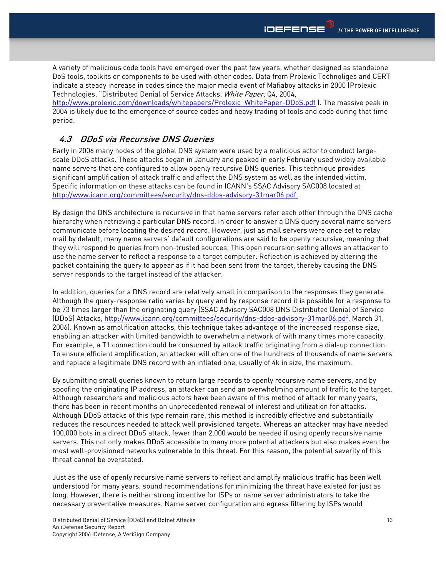<span id="page-12-0"></span>A variety of malicious code tools have emerged over the past few years, whether designed as standalone DoS tools, toolkits or components to be used with other codes. Data from Prolexic Technoliges and CERT indicate a steady increase in codes since the major media event of Mafiaboy attacks in 2000 (Prolexic Technologies, "Distributed Denial of Service Attacks, White Paper, Q4, 2004,

[http://www.prolexic.com/downloads/whitepapers/Prolexic\\_WhitePaper-DDoS.pdf](http://www.prolexic.com/downloads/whitepapers/Prolexic_WhitePaper-DDoS.pdf) ). The massive peak in 2004 is likely due to the emergence of source codes and heavy trading of tools and code during that time period.

### 4.3 DDoS via Recursive DNS Queries

Early in 2006 many nodes of the global DNS system were used by a malicious actor to conduct largescale DDoS attacks. These attacks began in January and peaked in early February used widely available name servers that are configured to allow openly recursive DNS queries. This technique provides significant amplification of attack traffic and affect the DNS system as well as the intended victim. Specific information on these attacks can be found in ICANN's SSAC Advisory SAC008 located at <http://www.icann.org/committees/security/dns-ddos-advisory-31mar06.pdf>.

By design the DNS architecture is recursive in that name servers refer each other through the DNS cache hierarchy when retrieving a particular DNS record. In order to answer a DNS query several name servers communicate before locating the desired record. However, just as mail servers were once set to relay mail by default, many name servers' default configurations are said to be openly recursive, meaning that they will respond to queries from non-trusted sources. This open recursion setting allows an attacker to use the name server to reflect a response to a target computer. Reflection is achieved by altering the packet containing the query to appear as if it had been sent from the target, thereby causing the DNS server responds to the target instead of the attacker.

In addition, queries for a DNS record are relatively small in comparison to the responses they generate. Although the query-response ratio varies by query and by response record it is possible for a response to be 73 times larger than the originating query (SSAC Advisory SAC008 DNS Distributed Denial of Service (DDoS) Attacks,<http://www.icann.org/committees/security/dns-ddos-advisory-31mar06.pdf>, March 31, 2006). Known as amplification attacks, this technique takes advantage of the increased response size, enabling an attacker with limited bandwidth to overwhelm a network of with many times more capacity. For example, a T1 connection could be consumed by attack traffic originating from a dial-up connection. To ensure efficient amplification, an attacker will often one of the hundreds of thousands of name servers and replace a legitimate DNS record with an inflated one, usually of 4k in size, the maximum.

By submitting small queries known to return large records to openly recursive name servers, and by spoofing the originating IP address, an attacker can send an overwhelming amount of traffic to the target. Although researchers and malicious actors have been aware of this method of attack for many years, there has been in recent months an unprecedented renewal of interest and utilization for attacks. Although DDoS attacks of this type remain rare, this method is incredibly effective and substantially reduces the resources needed to attack well provisioned targets. Whereas an attacker may have needed 100,000 bots in a direct DDoS attack, fewer than 2,000 would be needed if using openly recursive name servers. This not only makes DDoS accessible to many more potential attackers but also makes even the most well-provisioned networks vulnerable to this threat. For this reason, the potential severity of this threat cannot be overstated.

Just as the use of openly recursive name servers to reflect and amplify malicious traffic has been well understood for many years, sound recommendations for minimizing the threat have existed for just as long. However, there is neither strong incentive for ISPs or name server administrators to take the necessary preventative measures. Name server configuration and egress filtering by ISPs would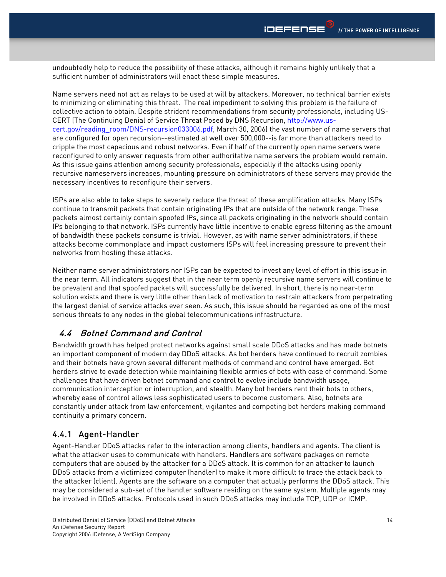<span id="page-13-0"></span>undoubtedly help to reduce the possibility of these attacks, although it remains highly unlikely that a sufficient number of administrators will enact these simple measures.

Name servers need not act as relays to be used at will by attackers. Moreover, no technical barrier exists to minimizing or eliminating this threat. The real impediment to solving this problem is the failure of collective action to obtain. Despite strident recommendations from security professionals, including US-CERT (The Continuing Denial of Service Threat Posed by DNS Recursion, [http://www.us](http://www.us-cert.gov/reading_room/DNS-recursion033006.pdf)[cert.gov/reading\\_room/DNS-recursion033006.pdf](http://www.us-cert.gov/reading_room/DNS-recursion033006.pdf), March 30, 2006) the vast number of name servers that are configured for open recursion--estimated at well over 500,000--is far more than attackers need to cripple the most capacious and robust networks. Even if half of the currently open name servers were reconfigured to only answer requests from other authoritative name servers the problem would remain. As this issue gains attention among security professionals, especially if the attacks using openly recursive nameservers increases, mounting pressure on administrators of these servers may provide the necessary incentives to reconfigure their servers.

ISPs are also able to take steps to severely reduce the threat of these amplification attacks. Many ISPs continue to transmit packets that contain originating IPs that are outside of the network range. These packets almost certainly contain spoofed IPs, since all packets originating in the network should contain IPs belonging to that network. ISPs currently have little incentive to enable egress filtering as the amount of bandwidth these packets consume is trivial. However, as with name server administrators, if these attacks become commonplace and impact customers ISPs will feel increasing pressure to prevent their networks from hosting these attacks.

Neither name server administrators nor ISPs can be expected to invest any level of effort in this issue in the near term. All indicators suggest that in the near term openly recursive name servers will continue to be prevalent and that spoofed packets will successfully be delivered. In short, there is no near-term solution exists and there is very little other than lack of motivation to restrain attackers from perpetrating the largest denial of service attacks ever seen. As such, this issue should be regarded as one of the most serious threats to any nodes in the global telecommunications infrastructure.

## 4.4 Botnet Command and Control

Bandwidth growth has helped protect networks against small scale DDoS attacks and has made botnets an important component of modern day DDoS attacks. As bot herders have continued to recruit zombies and their botnets have grown several different methods of command and control have emerged. Bot herders strive to evade detection while maintaining flexible armies of bots with ease of command. Some challenges that have driven botnet command and control to evolve include bandwidth usage, communication interception or interruption, and stealth. Many bot herders rent their bots to others, whereby ease of control allows less sophisticated users to become customers. Also, botnets are constantly under attack from law enforcement, vigilantes and competing bot herders making command continuity a primary concern.

### 4.4.1 Agent-Handler

Agent-Handler DDoS attacks refer to the interaction among clients, handlers and agents. The client is what the attacker uses to communicate with handlers. Handlers are software packages on remote computers that are abused by the attacker for a DDoS attack. It is common for an attacker to launch DDoS attacks from a victimized computer (handler) to make it more difficult to trace the attack back to the attacker (client). Agents are the software on a computer that actually performs the DDoS attack. This may be considered a sub-set of the handler software residing on the same system. Multiple agents may be involved in DDoS attacks. Protocols used in such DDoS attacks may include TCP, UDP or ICMP.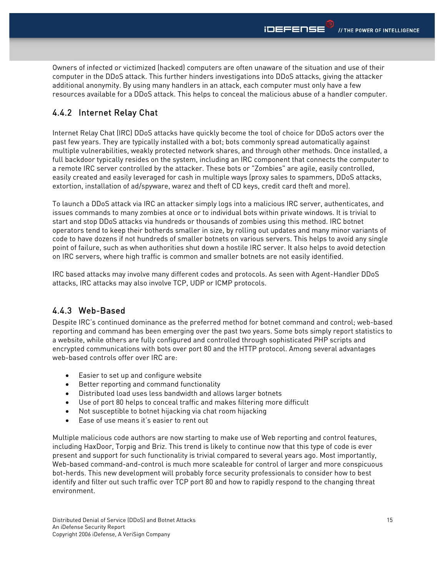<span id="page-14-0"></span>Owners of infected or victimized (hacked) computers are often unaware of the situation and use of their computer in the DDoS attack. This further hinders investigations into DDoS attacks, giving the attacker additional anonymity. By using many handlers in an attack, each computer must only have a few resources available for a DDoS attack. This helps to conceal the malicious abuse of a handler computer.

## 4.4.2 Internet Relay Chat

Internet Relay Chat (IRC) DDoS attacks have quickly become the tool of choice for DDoS actors over the past few years. They are typically installed with a bot; bots commonly spread automatically against multiple vulnerabilities, weakly protected network shares, and through other methods. Once installed, a full backdoor typically resides on the system, including an IRC component that connects the computer to a remote IRC server controlled by the attacker. These bots or "Zombies" are agile, easily controlled, easily created and easily leveraged for cash in multiple ways (proxy sales to spammers, DDoS attacks, extortion, installation of ad/spyware, warez and theft of CD keys, credit card theft and more).

To launch a DDoS attack via IRC an attacker simply logs into a malicious IRC server, authenticates, and issues commands to many zombies at once or to individual bots within private windows. It is trivial to start and stop DDoS attacks via hundreds or thousands of zombies using this method. IRC botnet operators tend to keep their botherds smaller in size, by rolling out updates and many minor variants of code to have dozens if not hundreds of smaller botnets on various servers. This helps to avoid any single point of failure, such as when authorities shut down a hostile IRC server. It also helps to avoid detection on IRC servers, where high traffic is common and smaller botnets are not easily identified.

IRC based attacks may involve many different codes and protocols. As seen with Agent-Handler DDoS attacks, IRC attacks may also involve TCP, UDP or ICMP protocols.

## 4.4.3 Web-Based

Despite IRC's continued dominance as the preferred method for botnet command and control; web-based reporting and command has been emerging over the past two years. Some bots simply report statistics to a website, while others are fully configured and controlled through sophisticated PHP scripts and encrypted communications with bots over port 80 and the HTTP protocol. Among several advantages web-based controls offer over IRC are:

- Easier to set up and configure website
- Better reporting and command functionality
- Distributed load uses less bandwidth and allows larger botnets
- Use of port 80 helps to conceal traffic and makes filtering more difficult
- Not susceptible to botnet hijacking via chat room hijacking
- Ease of use means it's easier to rent out

Multiple malicious code authors are now starting to make use of Web reporting and control features, including HaxDoor, Torpig and Briz. This trend is likely to continue now that this type of code is ever present and support for such functionality is trivial compared to several years ago. Most importantly, Web-based command-and-control is much more scaleable for control of larger and more conspicuous bot-herds. This new development will probably force security professionals to consider how to best identify and filter out such traffic over TCP port 80 and how to rapidly respond to the changing threat environment.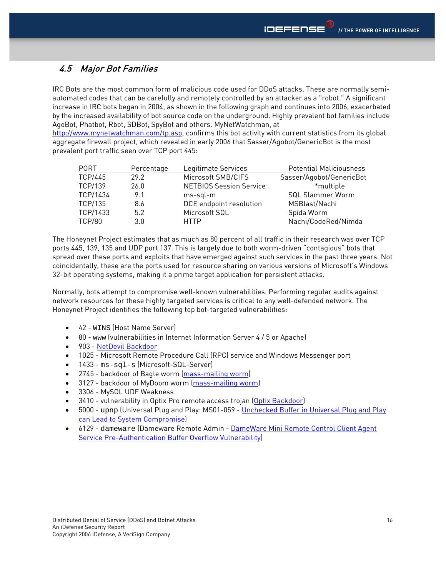## <span id="page-15-0"></span>4.5 Major Bot Families

IRC Bots are the most common form of malicious code used for DDoS attacks. These are normally semiautomated codes that can be carefully and remotely controlled by an attacker as a "robot." A significant increase in IRC bots began in 2004, as shown in the following graph and continues into 2006, exacerbated by the increased availability of bot source code on the underground. Highly prevalent bot families include AgoBot, Phatbot, Rbot, SDBot, SpyBot and others. MyNetWatchman, at

<http://www.mynetwatchman.com/tp.asp>, confirms this bot activity with current statistics from its global aggregate firewall project, which revealed in early 2006 that Sasser/Agobot/GenericBot is the most prevalent port traffic seen over TCP port 445:

| <b>PORT</b>    | Percentage | Legitimate Services            | <b>Potential Maliciousness</b> |
|----------------|------------|--------------------------------|--------------------------------|
| <b>TCP/445</b> | 29.2       | Microsoft SMB/CIFS             | Sasser/Agobot/GenericBot       |
| <b>TCP/139</b> | 26.0       | <b>NETBIOS Session Service</b> | *multiple                      |
| TCP/1434       | 9.1        | ms-sql-m                       | <b>SQL Slammer Worm</b>        |
| <b>TCP/135</b> | 8.6        | DCE endpoint resolution        | MSBlast/Nachi                  |
| TCP/1433       | 5.2        | Microsoft SQL                  | Spida Worm                     |
| <b>TCP/80</b>  | 3.0        | <b>HTTP</b>                    | Nachi/CodeRed/Nimda            |

The Honeynet Project estimates that as much as 80 percent of all traffic in their research was over TCP ports 445, 139, 135 and UDP port 137. This is largely due to both worm-driven "contagious" bots that spread over these ports and exploits that have emerged against such services in the past three years. Not coincidentally, these are the ports used for resource sharing on various versions of Microsoft's Windows 32-bit operating systems, making it a prime target application for persistent attacks.

Normally, bots attempt to compromise well-known vulnerabilities. Performing regular audits against network resources for these highly targeted services is critical to any well-defended network. The Honeynet Project identifies the following top bot-targeted vulnerabilities:

- 42 WINS (Host Name Server)
- 80 www (vulnerabilities in Internet Information Server 4 / 5 or Apache)
- 903 [NetDevil Backdoor](http://securityresponse.symantec.com/avcenter/venc/data/backdoor.netdevil.html)
- 1025 Microsoft Remote Procedure Call (RPC) service and Windows Messenger port
- 1433 ms-sql-s (Microsoft-SQL-Server)
- 2745 backdoor of Bagle worm [\(mass-mailing worm](http://securityresponse.symantec.com/avcenter/venc/data/w32.beagle.a@mm.html))
- 3127 backdoor of MyDoom worm [\(mass-mailing worm](http://securityresponse.symantec.com/avcenter/venc/data/w32.novarg.a@mm.html))
- 3306 MySQL UDF Weakness
- 3410 vulnerability in Optix Pro remote access trojan ([Optix Backdoor](http://www.diamondcs.com.au/index.php?page=archive&id=analysis-optixpro))
- 5000 upnp (Universal Plug and Play: MS01-059 [Unchecked Buffer in Universal Plug and Play](http://www.microsoft.com/technet/security/bulletin/ms01-059.mspx)  [can Lead to System Compromise\)](http://www.microsoft.com/technet/security/bulletin/ms01-059.mspx)
- 6129 dameware (Dameware Remote Admin - [DameWare Mini Remote Control Client Agent](http://www.dameware.com/support/security/bulletin.asp?ID=SB2)  [Service Pre-Authentication Buffer Overflow Vulnerability\)](http://www.dameware.com/support/security/bulletin.asp?ID=SB2)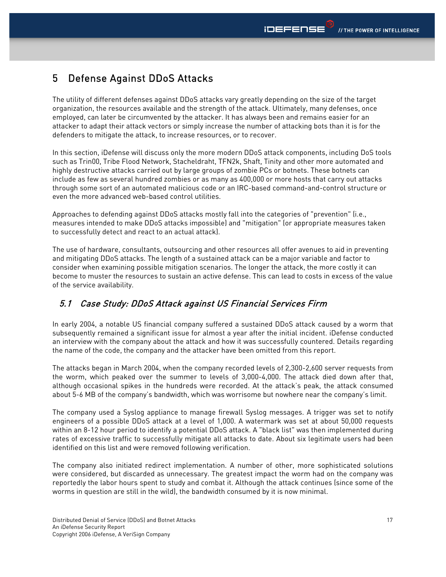## <span id="page-16-0"></span>5 Defense Against DDoS Attacks

The utility of different defenses against DDoS attacks vary greatly depending on the size of the target organization, the resources available and the strength of the attack. Ultimately, many defenses, once employed, can later be circumvented by the attacker. It has always been and remains easier for an attacker to adapt their attack vectors or simply increase the number of attacking bots than it is for the defenders to mitigate the attack, to increase resources, or to recover.

In this section, iDefense will discuss only the more modern DDoS attack components, including DoS tools such as Trin00, Tribe Flood Network, Stacheldraht, TFN2k, Shaft, Tinity and other more automated and highly destructive attacks carried out by large groups of zombie PCs or botnets. These botnets can include as few as several hundred zombies or as many as 400,000 or more hosts that carry out attacks through some sort of an automated malicious code or an IRC-based command-and-control structure or even the more advanced web-based control utilities.

Approaches to defending against DDoS attacks mostly fall into the categories of "prevention" (i.e., measures intended to make DDoS attacks impossible) and "mitigation" (or appropriate measures taken to successfully detect and react to an actual attack).

The use of hardware, consultants, outsourcing and other resources all offer avenues to aid in preventing and mitigating DDoS attacks. The length of a sustained attack can be a major variable and factor to consider when examining possible mitigation scenarios. The longer the attack, the more costly it can become to muster the resources to sustain an active defense. This can lead to costs in excess of the value of the service availability.

## 5.1 Case Study: DDoS Attack against US Financial Services Firm

In early 2004, a notable US financial company suffered a sustained DDoS attack caused by a worm that subsequently remained a significant issue for almost a year after the initial incident. iDefense conducted an interview with the company about the attack and how it was successfully countered. Details regarding the name of the code, the company and the attacker have been omitted from this report.

The attacks began in March 2004, when the company recorded levels of 2,300-2,600 server requests from the worm, which peaked over the summer to levels of 3,000-4,000. The attack died down after that, although occasional spikes in the hundreds were recorded. At the attack's peak, the attack consumed about 5-6 MB of the company's bandwidth, which was worrisome but nowhere near the company's limit.

The company used a Syslog appliance to manage firewall Syslog messages. A trigger was set to notify engineers of a possible DDoS attack at a level of 1,000. A watermark was set at about 50,000 requests within an 8-12 hour period to identify a potential DDoS attack. A "black list" was then implemented during rates of excessive traffic to successfully mitigate all attacks to date. About six legitimate users had been identified on this list and were removed following verification.

The company also initiated redirect implementation. A number of other, more sophisticated solutions were considered, but discarded as unnecessary. The greatest impact the worm had on the company was reportedly the labor hours spent to study and combat it. Although the attack continues (since some of the worms in question are still in the wild), the bandwidth consumed by it is now minimal.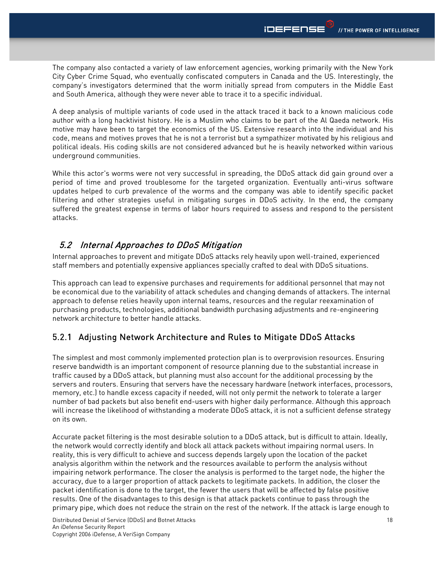<span id="page-17-0"></span>The company also contacted a variety of law enforcement agencies, working primarily with the New York City Cyber Crime Squad, who eventually confiscated computers in Canada and the US. Interestingly, the company's investigators determined that the worm initially spread from computers in the Middle East and South America, although they were never able to trace it to a specific individual.

A deep analysis of multiple variants of code used in the attack traced it back to a known malicious code author with a long hacktivist history. He is a Muslim who claims to be part of the Al Qaeda network. His motive may have been to target the economics of the US. Extensive research into the individual and his code, means and motives proves that he is not a terrorist but a sympathizer motivated by his religious and political ideals. His coding skills are not considered advanced but he is heavily networked within various underground communities.

While this actor's worms were not very successful in spreading, the DDoS attack did gain ground over a period of time and proved troublesome for the targeted organization. Eventually anti-virus software updates helped to curb prevalence of the worms and the company was able to identify specific packet filtering and other strategies useful in mitigating surges in DDoS activity. In the end, the company suffered the greatest expense in terms of labor hours required to assess and respond to the persistent attacks.

### 5.2 Internal Approaches to DDoS Mitigation

Internal approaches to prevent and mitigate DDoS attacks rely heavily upon well-trained, experienced staff members and potentially expensive appliances specially crafted to deal with DDoS situations.

This approach can lead to expensive purchases and requirements for additional personnel that may not be economical due to the variability of attack schedules and changing demands of attackers. The internal approach to defense relies heavily upon internal teams, resources and the regular reexamination of purchasing products, technologies, additional bandwidth purchasing adjustments and re-engineering network architecture to better handle attacks.

## 5.2.1 Adjusting Network Architecture and Rules to Mitigate DDoS Attacks

The simplest and most commonly implemented protection plan is to overprovision resources. Ensuring reserve bandwidth is an important component of resource planning due to the substantial increase in traffic caused by a DDoS attack, but planning must also account for the additional processing by the servers and routers. Ensuring that servers have the necessary hardware (network interfaces, processors, memory, etc.) to handle excess capacity if needed, will not only permit the network to tolerate a larger number of bad packets but also benefit end-users with higher daily performance. Although this approach will increase the likelihood of withstanding a moderate DDoS attack, it is not a sufficient defense strategy on its own.

Accurate packet filtering is the most desirable solution to a DDoS attack, but is difficult to attain. Ideally, the network would correctly identify and block all attack packets without impairing normal users. In reality, this is very difficult to achieve and success depends largely upon the location of the packet analysis algorithm within the network and the resources available to perform the analysis without impairing network performance. The closer the analysis is performed to the target node, the higher the accuracy, due to a larger proportion of attack packets to legitimate packets. In addition, the closer the packet identification is done to the target, the fewer the users that will be affected by false positive results. One of the disadvantages to this design is that attack packets continue to pass through the primary pipe, which does not reduce the strain on the rest of the network. If the attack is large enough to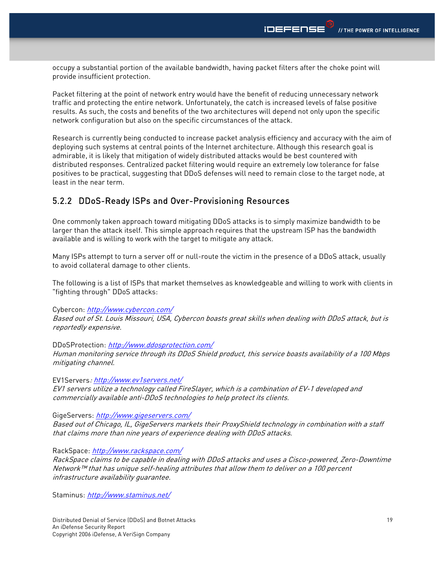<span id="page-18-0"></span>occupy a substantial portion of the available bandwidth, having packet filters after the choke point will provide insufficient protection.

Packet filtering at the point of network entry would have the benefit of reducing unnecessary network traffic and protecting the entire network. Unfortunately, the catch is increased levels of false positive results. As such, the costs and benefits of the two architectures will depend not only upon the specific network configuration but also on the specific circumstances of the attack.

Research is currently being conducted to increase packet analysis efficiency and accuracy with the aim of deploying such systems at central points of the Internet architecture. Although this research goal is admirable, it is likely that mitigation of widely distributed attacks would be best countered with distributed responses. Centralized packet filtering would require an extremely low tolerance for false positives to be practical, suggesting that DDoS defenses will need to remain close to the target node, at least in the near term.

### 5.2.2 DDoS-Ready ISPs and Over-Provisioning Resources

One commonly taken approach toward mitigating DDoS attacks is to simply maximize bandwidth to be larger than the attack itself. This simple approach requires that the upstream ISP has the bandwidth available and is willing to work with the target to mitigate any attack.

Many ISPs attempt to turn a server off or null-route the victim in the presence of a DDoS attack, usually to avoid collateral damage to other clients.

The following is a list of ISPs that market themselves as knowledgeable and willing to work with clients in "fighting through" DDoS attacks:

Cybercon: <http://www.cybercon.com/>

Based out of St. Louis Missouri, USA, Cybercon boasts great skills when dealing with DDoS attack, but is reportedly expensive.

DDoSProtection: <http://www.ddosprotection.com/>

Human monitoring service through its DDoS Shield product, this service boasts availability of a 100 Mbps mitigating channel.

EV1Servers: <http://www.ev1servers.net/>

EV1 servers utilize a technology called FireSlayer, which is a combination of EV-1 developed and commercially available anti-DDoS technologies to help protect its clients.

GigeServers: <http://www.gigeservers.com/>

Based out of Chicago, IL, GigeServers markets their ProxyShield technology in combination with a staff that claims more than nine years of experience dealing with DDoS attacks.

RackSpace: <http://www.rackspace.com/>

RackSpace claims to be capable in dealing with DDoS attacks and uses a Cisco-powered, Zero-Downtime Network™ that has unique self-healing attributes that allow them to deliver on a 100 percent infrastructure availability guarantee.

Staminus: <http://www.staminus.net/>

Distributed Denial of Service (DDoS) and Botnet Attacks An iDefense Security Report Copyright 2006 iDefense, A VeriSign Company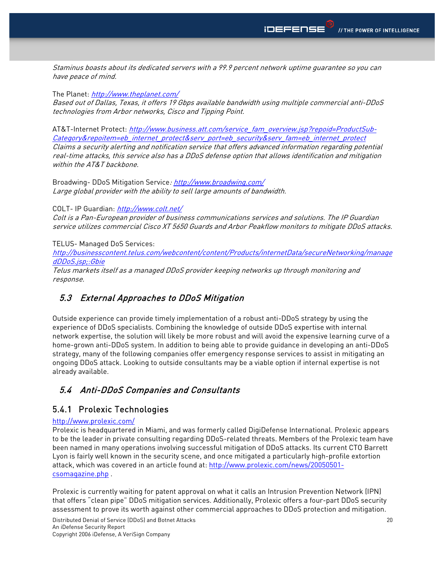<span id="page-19-0"></span>Staminus boasts about its dedicated servers with a 99.9 percent network uptime guarantee so you can have peace of mind.

#### The Planet: <http://www.theplanet.com/>

Based out of Dallas, Texas, it offers 19 Gbps available bandwidth using multiple commercial anti-DDoS technologies from Arbor networks, Cisco and Tipping Point.

AT&T-Internet Protect: [http://www.business.att.com/service\\_fam\\_overview.jsp?repoid=ProductSub-](http://www.business.att.com/service_fam_overview.jsp?repoid=ProductSub-Category&repoitem=eb_internet_protect&serv_port=eb_security&serv_fam=eb_internet_protect)[Category&repoitem=eb\\_internet\\_protect&serv\\_port=eb\\_security&serv\\_fam=eb\\_internet\\_protect](http://www.business.att.com/service_fam_overview.jsp?repoid=ProductSub-Category&repoitem=eb_internet_protect&serv_port=eb_security&serv_fam=eb_internet_protect) Claims a security alerting and notification service that offers advanced information regarding potential real-time attacks, this service also has a DDoS defense option that allows identification and mitigation within the AT&T backbone.

Broadwing- DDoS Mitigation Service: http://www.broadwing.com/ Large global provider with the ability to sell large amounts of bandwidth.

[COLT- IP Guardian:](http://www.colt.net/news/data/2005/1/02/colt_protects_businesses_against_rise_in_computer_attacks__none.html) <http://www.colt.net/>

Colt is a Pan-European provider of business communications services and solutions. The IP Guardian service utilizes commercial Cisco XT 5650 Guards and Arbor Peakflow monitors to mitigate DDoS attacks.

TELUS- Managed DoS Services:

http://businesscontent.telus.com/webcontent/content/Products/internetData/secureNetworking/manage dDDoS.jsp;:Gbie

Telus markets itself as a managed DDoS provider keeping networks up through monitoring and response.

### 5.3 External Approaches to DDoS Mitigation

Outside experience can provide timely implementation of a robust anti-DDoS strategy by using the experience of DDoS specialists. Combining the knowledge of outside DDoS expertise with internal network expertise, the solution will likely be more robust and will avoid the expensive learning curve of a home-grown anti-DDoS system. In addition to being able to provide guidance in developing an anti-DDoS strategy, many of the following companies offer emergency response services to assist in mitigating an ongoing DDoS attack. Looking to outside consultants may be a viable option if internal expertise is not already available.

### 5.4 Anti-DDoS Companies and Consultants

### 5.4.1 Prolexic Technologies

#### <http://www.prolexic.com/>

Prolexic is headquartered in Miami, and was formerly called DigiDefense International. Prolexic appears to be the leader in private consulting regarding DDoS-related threats. Members of the Prolexic team have been named in many operations involving successful mitigation of DDoS attacks. Its current CTO Barrett Lyon is fairly well known in the security scene, and once mitigated a particularly high-profile extortion attack, which was covered in an article found at: [http://www.prolexic.com/news/20050501](http://www.prolexic.com/news/20050501-csomagazine.php) [csomagazine.php](http://www.prolexic.com/news/20050501-csomagazine.php) .

Prolexic is currently waiting for patent approval on what it calls an Intrusion Prevention Network (IPN) that offers "clean pipe" DDoS mitigation services. Additionally, Prolexic offers a four-part DDoS security assessment to prove its worth against other commercial approaches to DDoS protection and mitigation.

Distributed Denial of Service (DDoS) and Botnet Attacks An iDefense Security Report Copyright 2006 iDefense, A VeriSign Company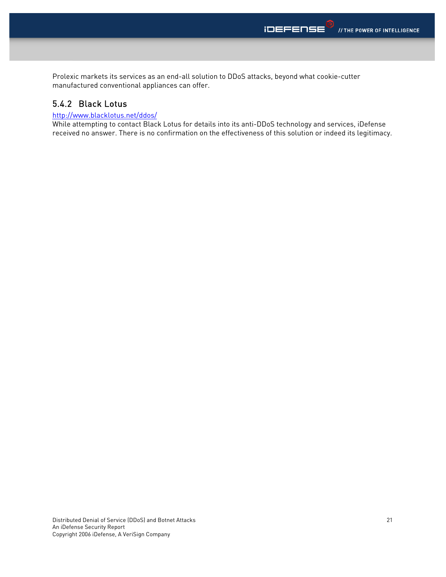<span id="page-20-0"></span>Prolexic markets its services as an end-all solution to DDoS attacks, beyond what cookie-cutter manufactured conventional appliances can offer.

### 5.4.2 Black Lotus

#### <http://www.blacklotus.net/ddos/>

While attempting to contact Black Lotus for details into its anti-DDoS technology and services, iDefense received no answer. There is no confirmation on the effectiveness of this solution or indeed its legitimacy.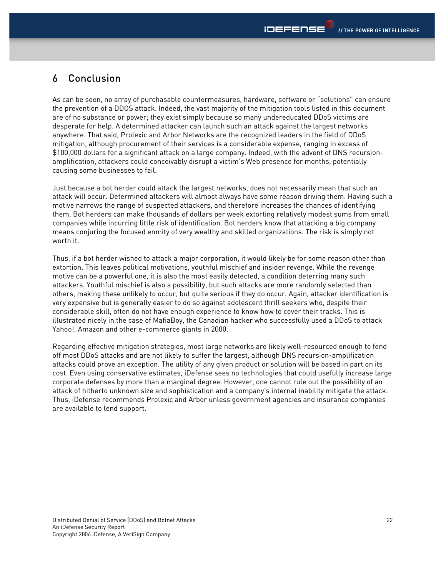## <span id="page-21-0"></span>6 Conclusion

As can be seen, no array of purchasable countermeasures, hardware, software or "solutions" can ensure the prevention of a DDOS attack. Indeed, the vast majority of the mitigation tools listed in this document are of no substance or power; they exist simply because so many undereducated DDoS victims are desperate for help. A determined attacker can launch such an attack against the largest networks anywhere. That said, Prolexic and Arbor Networks are the recognized leaders in the field of DDoS mitigation, although procurement of their services is a considerable expense, ranging in excess of \$100,000 dollars for a significant attack on a large company. Indeed, with the advent of DNS recursionamplification, attackers could conceivably disrupt a victim's Web presence for months, potentially causing some businesses to fail.

Just because a bot herder could attack the largest networks, does not necessarily mean that such an attack will occur. Determined attackers will almost always have some reason driving them. Having such a motive narrows the range of suspected attackers, and therefore increases the chances of identifying them. Bot herders can make thousands of dollars per week extorting relatively modest sums from small companies while incurring little risk of identification. Bot herders know that attacking a big company means conjuring the focused enmity of very wealthy and skilled organizations. The risk is simply not worth it.

Thus, if a bot herder wished to attack a major corporation, it would likely be for some reason other than extortion. This leaves political motivations, youthful mischief and insider revenge. While the revenge motive can be a powerful one, it is also the most easily detected, a condition deterring many such attackers. Youthful mischief is also a possibility, but such attacks are more randomly selected than others, making these unlikely to occur, but quite serious if they do occur. Again, attacker identification is very expensive but is generally easier to do so against adolescent thrill seekers who, despite their considerable skill, often do not have enough experience to know how to cover their tracks. This is illustrated nicely in the case of MafiaBoy, the Canadian hacker who successfully used a DDoS to attack Yahoo!, Amazon and other e-commerce giants in 2000.

Regarding effective mitigation strategies, most large networks are likely well-resourced enough to fend off most DDoS attacks and are not likely to suffer the largest, although DNS recursion-amplification attacks could prove an exception. The utility of any given product or solution will be based in part on its cost. Even using conservative estimates, iDefense sees no technologies that could usefully increase large corporate defenses by more than a marginal degree. However, one cannot rule out the possibility of an attack of hitherto unknown size and sophistication and a company's internal inability mitigate the attack. Thus, iDefense recommends Prolexic and Arbor unless government agencies and insurance companies are available to lend support.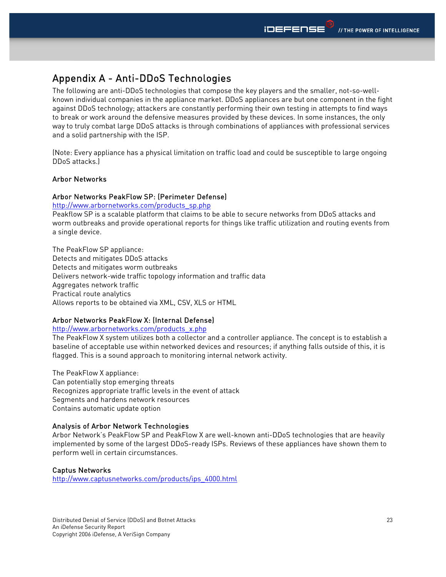## <span id="page-22-0"></span>Appendix A - Anti-DDoS Technologies

The following are anti-DDoS technologies that compose the key players and the smaller, not-so-wellknown individual companies in the appliance market. DDoS appliances are but one component in the fight against DDoS technology; attackers are constantly performing their own testing in attempts to find ways to break or work around the defensive measures provided by these devices. In some instances, the only way to truly combat large DDoS attacks is through combinations of appliances with professional services and a solid partnership with the ISP.

(Note: Every appliance has a physical limitation on traffic load and could be susceptible to large ongoing DDoS attacks.)

#### Arbor Networks

#### Arbor Networks PeakFlow SP: (Perimeter Defense)

[http://www.arbornetworks.com/products\\_sp.php](http://www.arbornetworks.com/products_sp.php) Peakflow SP is a scalable platform that claims to be able to secure networks from DDoS attacks and worm outbreaks and provide operational reports for things like traffic utilization and routing events from a single device.

The PeakFlow SP appliance: Detects and mitigates DDoS attacks Detects and mitigates worm outbreaks Delivers network-wide traffic topology information and traffic data Aggregates network traffic Practical route analytics Allows reports to be obtained via XML, CSV, XLS or HTML

#### Arbor Networks PeakFlow X: (Internal Defense)

#### [http://www.arbornetworks.com/products\\_x.php](http://www.arbornetworks.com/products_x.php)

The PeakFlow X system utilizes both a collector and a controller appliance. The concept is to establish a baseline of acceptable use within networked devices and resources; if anything falls outside of this, it is flagged. This is a sound approach to monitoring internal network activity.

The PeakFlow X appliance: Can potentially stop emerging threats Recognizes appropriate traffic levels in the event of attack Segments and hardens network resources Contains automatic update option

#### Analysis of Arbor Network Technologies

Arbor Network's PeakFlow SP and PeakFlow X are well-known anti-DDoS technologies that are heavily implemented by some of the largest DDoS-ready ISPs. Reviews of these appliances have shown them to perform well in certain circumstances.

#### Captus Networks

[http://www.captusnetworks.com/products/ips\\_4000.html](http://www.captusnetworks.com/products/ips_4000.html)

Distributed Denial of Service (DDoS) and Botnet Attacks An iDefense Security Report Copyright 2006 iDefense, A VeriSign Company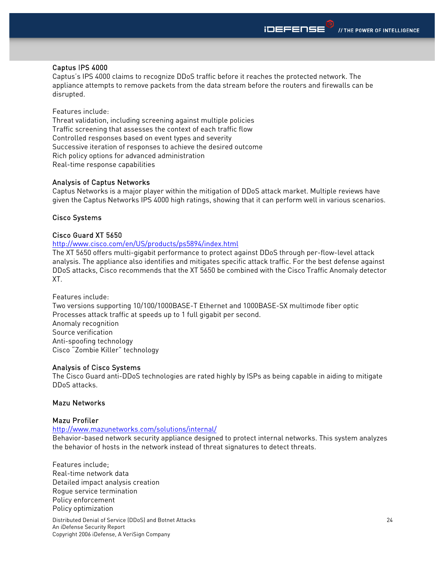#### Captus IPS 4000

Captus's IPS 4000 claims to recognize DDoS traffic before it reaches the protected network. The appliance attempts to remove packets from the data stream before the routers and firewalls can be disrupted.

Features include:

Threat validation, including screening against multiple policies Traffic screening that assesses the context of each traffic flow Controlled responses based on event types and severity Successive iteration of responses to achieve the desired outcome Rich policy options for advanced administration Real-time response capabilities

#### Analysis of Captus Networks

Captus Networks is a major player within the mitigation of DDoS attack market. Multiple reviews have given the Captus Networks IPS 4000 high ratings, showing that it can perform well in various scenarios.

#### Cisco Systems

#### Cisco Guard XT 5650

#### <http://www.cisco.com/en/US/products/ps5894/index.html>

The XT 5650 offers multi-gigabit performance to protect against DDoS through per-flow-level attack analysis. The appliance also identifies and mitigates specific attack traffic. For the best defense against DDoS attacks, Cisco recommends that the XT 5650 be combined with the Cisco Traffic Anomaly detector XT.

Features include:

Two versions supporting 10/100/1000BASE-T Ethernet and 1000BASE-SX multimode fiber optic Processes attack traffic at speeds up to 1 full gigabit per second. Anomaly recognition Source verification Anti-spoofing technology Cisco "Zombie Killer" technology

#### Analysis of Cisco Systems

The Cisco Guard anti-DDoS technologies are rated highly by ISPs as being capable in aiding to mitigate DDoS attacks.

#### Mazu Networks

#### Mazu Profiler

#### <http://www.mazunetworks.com/solutions/internal/>

Behavior-based network security appliance designed to protect internal networks. This system analyzes the behavior of hosts in the network instead of threat signatures to detect threats.

Features include; Real-time network data Detailed impact analysis creation Rogue service termination Policy enforcement Policy optimization

Distributed Denial of Service (DDoS) and Botnet Attacks An iDefense Security Report Copyright 2006 iDefense, A VeriSign Company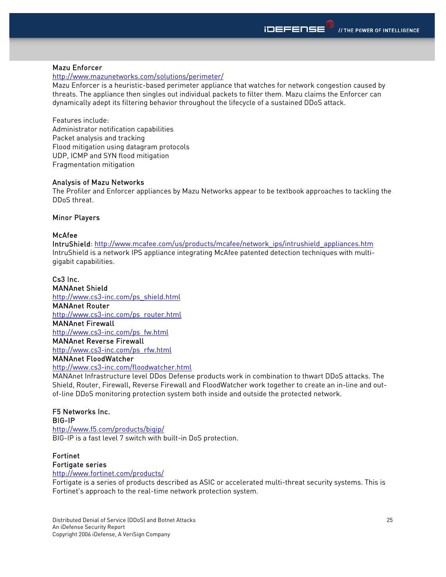#### Mazu Enforcer

#### <http://www.mazunetworks.com/solutions/perimeter/>

Mazu Enforcer is a heuristic-based perimeter appliance that watches for network congestion caused by threats. The appliance then singles out individual packets to filter them. Mazu claims the Enforcer can dynamically adept its filtering behavior throughout the lifecycle of a sustained DDoS attack.

Features include: Administrator notification capabilities Packet analysis and tracking Flood mitigation using datagram protocols UDP, ICMP and SYN flood mitigation Fragmentation mitigation

#### Analysis of Mazu Networks

The Profiler and Enforcer appliances by Mazu Networks appear to be textbook approaches to tackling the DDoS threat.

#### Minor Players

#### McAfee

IntruShield: [http://www.mcafee.com/us/products/mcafee/network\\_ips/intrushield\\_appliances.htm](http://www.mcafee.com/us/products/mcafee/network_ips/intrushield_appliances.htm) IntruShield is a network IPS appliance integrating McAfee patented detection techniques with multigigabit capabilities.

#### Cs3 Inc.

MANAnet Shield [http://www.cs3-inc.com/ps\\_shield.html](http://www.cs3-inc.com/ps_shield.html) MANAnet Router [http://www.cs3-inc.com/ps\\_router.html](http://www.cs3-inc.com/ps_router.html) MANAnet Firewall

[http://www.cs3-inc.com/ps\\_fw.html](http://www.cs3-inc.com/ps_fw.html)

## MANAnet Reverse Firewall

[http://www.cs3-inc.com/ps\\_rfw.html](http://www.cs3-inc.com/ps_rfw.html)

#### MANAnet FloodWatcher

#### <http://www.cs3-inc.com/floodwatcher.html>

MANAnet Infrastructure level DDos Defense products work in combination to thwart DDoS attacks. The Shield, Router, Firewall, Reverse Firewall and FloodWatcher work together to create an in-line and outof-line DDoS monitoring protection system both inside and outside the protected network.

## F5 Networks Inc.

BIG-IP <http://www.f5.com/products/bigip/> BIG-IP is a fast level 7 switch with built-in DoS protection.

#### Fortinet Fortigate series

#### <http://www.fortinet.com/products/>

Fortigate is a series of products described as ASIC or accelerated multi-threat security systems. This is Fortinet's approach to the real-time network protection system.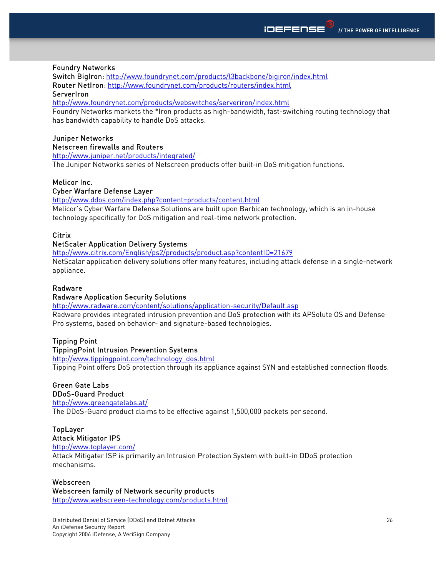#### Foundry Networks

Switch BigIron: <http://www.foundrynet.com/products/l3backbone/bigiron/index.html> Router NetIron: <http://www.foundrynet.com/products/routers/index.html> **ServerIron** 

<http://www.foundrynet.com/products/webswitches/serveriron/index.html>

Foundry Networks markets the \*Iron products as high-bandwidth, fast-switching routing technology that has bandwidth capability to handle DoS attacks.

#### Juniper Networks

#### Netscreen firewalls and Routers

<http://www.juniper.net/products/integrated/>

The Juniper Networks series of Netscreen products offer built-in DoS mitigation functions.

#### Melicor Inc.

#### Cyber Warfare Defense Layer

<http://www.ddos.com/index.php?content=products/content.html>

Melicor's Cyber Warfare Defense Solutions are built upon Barbican technology, which is an in-house technology specifically for DoS mitigation and real-time network protection.

#### Citrix

#### NetScaler Application Delivery Systems

<http://www.citrix.com/English/ps2/products/product.asp?contentID=21679>

NetScalar application delivery solutions offer many features, including attack defense in a single-network appliance.

#### Radware

#### Radware Application Security Solutions

<http://www.radware.com/content/solutions/application-security/Default.asp>

Radware provides integrated intrusion prevention and DoS protection with its APSolute OS and Defense Pro systems, based on behavior- and signature-based technologies.

#### Tipping Point

#### TippingPoint Intrusion Prevention Systems

#### [http://www.tippingpoint.com/technology\\_dos.html](http://www.tippingpoint.com/technology_dos.html)

Tipping Point offers DoS protection through its appliance against SYN and established connection floods.

#### Green Gate Labs DDoS-Guard Product

#### <http://www.greengatelabs.at/>

The DDoS-Guard product claims to be effective against 1,500,000 packets per second.

#### TopLayer Attack Mitigator IPS

#### <http://www.toplayer.com/>

Attack Mitigater ISP is primarily an Intrusion Protection System with built-in DDoS protection mechanisms.

#### Webscreen

### Webscreen family of Network security products

<http://www.webscreen-technology.com/products.html>

Distributed Denial of Service (DDoS) and Botnet Attacks An iDefense Security Report Copyright 2006 iDefense, A VeriSign Company